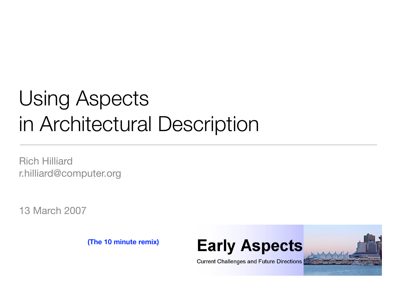# Using Aspects in Architectural Description

Rich Hilliard [r.hilliard@computer.org](mailto:r.hilliard@computer.org)

13 March 2007

**(The 10 minute remix)**





**Current Challenges and Future Directions**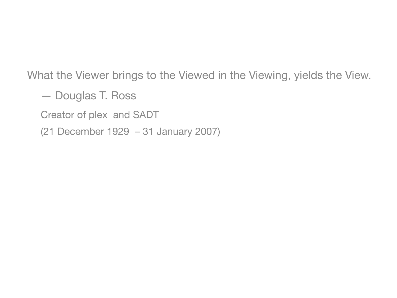What the Viewer brings to the Viewed in the Viewing, yields the View.

— Douglas T. Ross

Creator of plex and SADT

(21 December 1929 – 31 January 2007)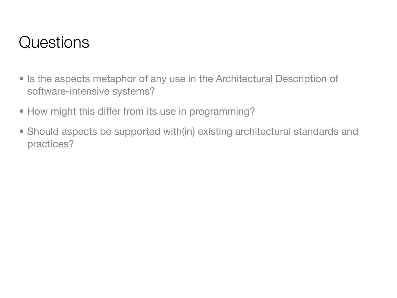## Questions

- Is the aspects metaphor of any use in the Architectural Description of software-intensive systems?
- How might this differ from its use in programming?
- Should aspects be supported with(in) existing architectural standards and practices?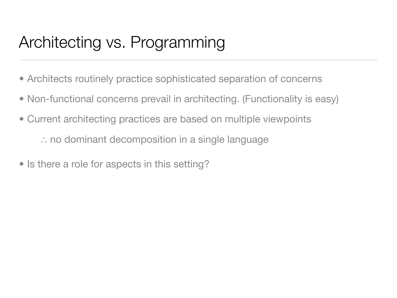# Architecting vs. Programming

- Architects routinely practice sophisticated separation of concerns
- Non-functional concerns prevail in architecting. (Functionality is easy)
- Current architecting practices are based on multiple viewpoints

∴ no dominant decomposition in a single language

• Is there a role for aspects in this setting?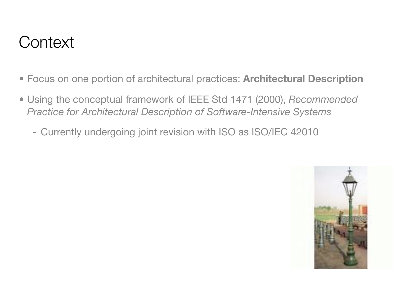### **Context**

- Focus on one portion of architectural practices: **Architectural Description**
- Using the conceptual framework of IEEE Std 1471 (2000), *Recommended Practice for Architectural Description of Software-Intensive Systems*
	- Currently undergoing joint revision with ISO as ISO/IEC 42010

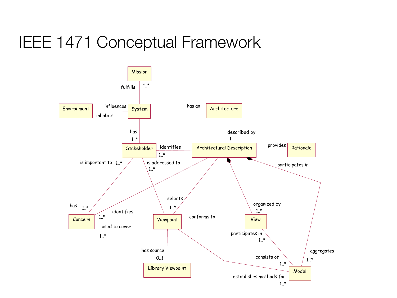#### IEEE 1471 Conceptual Framework

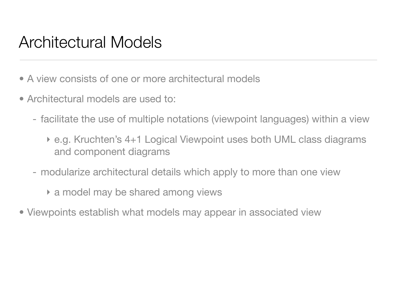#### Architectural Models

- A view consists of one or more architectural models
- Architectural models are used to:
	- facilitate the use of multiple notations (viewpoint languages) within a view
		- ‣ e.g. Kruchten's 4+1 Logical Viewpoint uses both UML class diagrams and component diagrams
	- modularize architectural details which apply to more than one view
		- ‣ a model may be shared among views
- Viewpoints establish what models may appear in associated view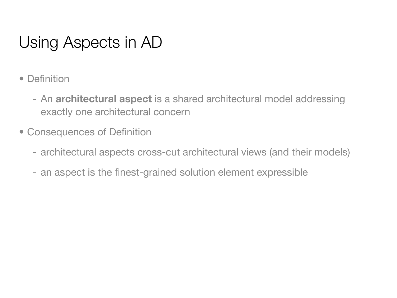# Using Aspects in AD

- Definition
	- An **architectural aspect** is a shared architectural model addressing exactly one architectural concern
- Consequences of Definition
	- architectural aspects cross-cut architectural views (and their models)
	- an aspect is the finest-grained solution element expressible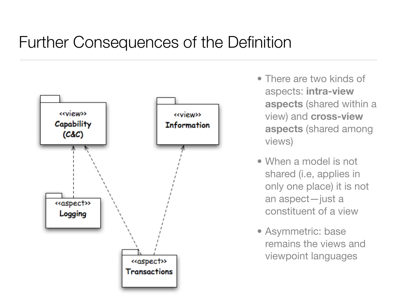#### Further Consequences of the Definition



- There are two kinds of aspects: **intra-view aspects** (shared within a view) and **cross-view aspects** (shared among views)
- When a model is not shared (i.e, applies in only one place) it is not an aspect—just a constituent of a view
- Asymmetric: base remains the views and viewpoint languages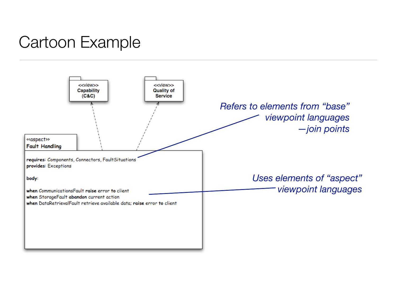# Cartoon Example

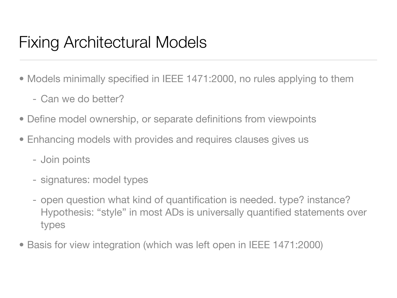#### Fixing Architectural Models

- Models minimally specified in IEEE 1471:2000, no rules applying to them
	- Can we do better?
- Define model ownership, or separate definitions from viewpoints
- Enhancing models with provides and requires clauses gives us
	- Join points
	- signatures: model types
	- open question what kind of quantification is needed. type? instance? Hypothesis: "style" in most ADs is universally quantified statements over types
- Basis for view integration (which was left open in IEEE 1471:2000)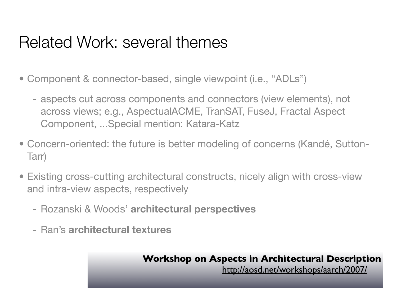#### Related Work: several themes

- Component & connector-based, single viewpoint (i.e., "ADLs")
	- aspects cut across components and connectors (view elements), not across views; e.g., AspectualACME, TranSAT, FuseJ, Fractal Aspect Component, ...Special mention: Katara-Katz
- Concern-oriented: the future is better modeling of concerns (Kandé, Sutton-Tarr)
- Existing cross-cutting architectural constructs, nicely align with cross-view and intra-view aspects, respectively
	- Rozanski & Woods' **architectural perspectives**
	- Ran's **architectural textures**

**Workshop on Aspects in Architectural Description**

<http://aosd.net/workshops/aarch/2007/>